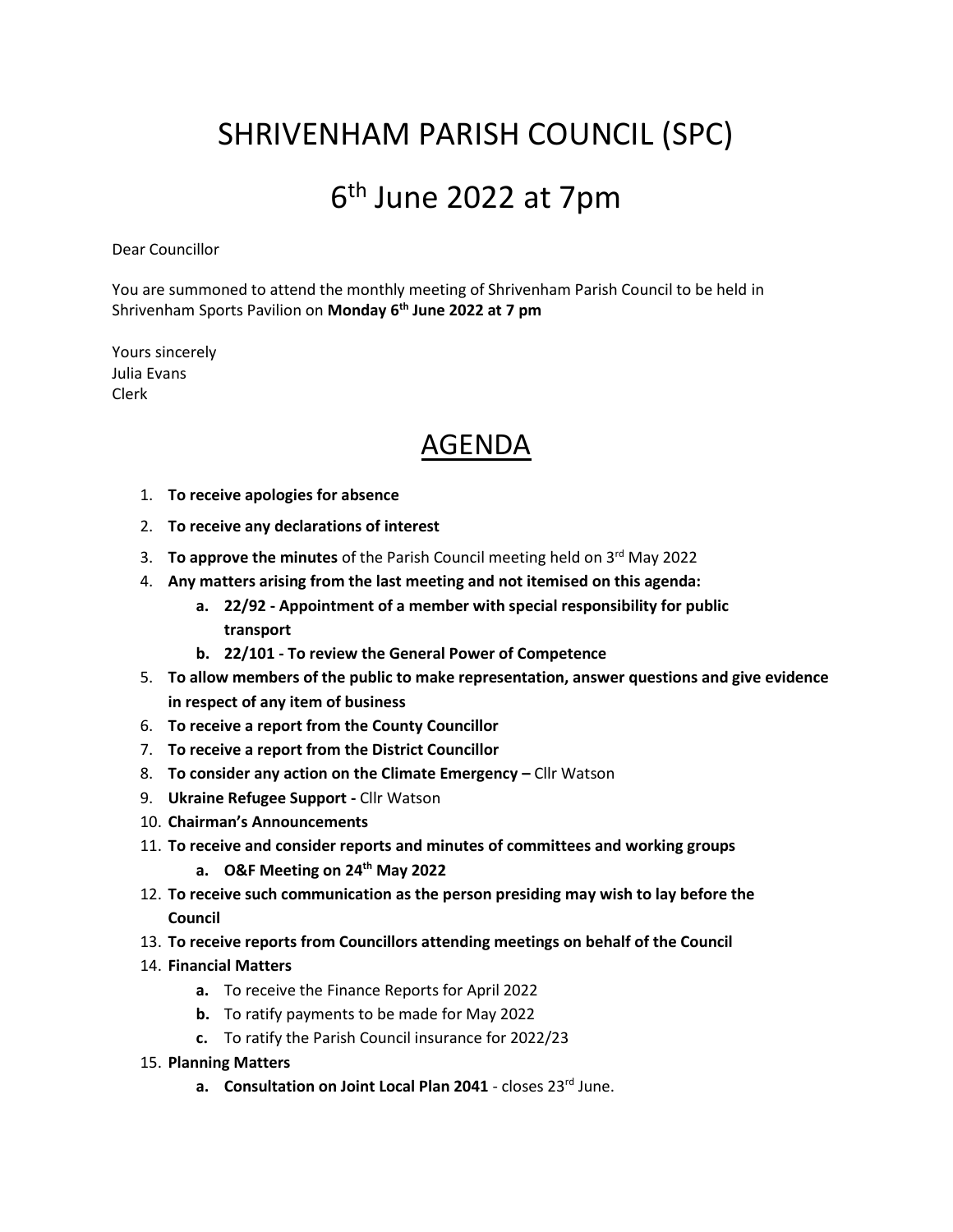## SHRIVENHAM PARISH COUNCIL (SPC)

## 6<sup>th</sup> June 2022 at 7pm

Dear Councillor

You are summoned to attend the monthly meeting of Shrivenham Parish Council to be held in Shrivenham Sports Pavilion on **Monday 6th June 2022 at 7 pm**

Yours sincerely Julia Evans Clerk

## AGENDA

- 1. **To receive apologies for absence**
- 2. **To receive any declarations of interest**
- 3. To approve the minutes of the Parish Council meeting held on 3<sup>rd</sup> May 2022
- 4. **Any matters arising from the last meeting and not itemised on this agenda:**
	- **a. 22/92 - Appointment of a member with special responsibility for public transport**
	- **b. 22/101 - To review the General Power of Competence**
- 5. **To allow members of the public to make representation, answer questions and give evidence in respect of any item of business**
- 6. **To receive a report from the County Councillor**
- 7. **To receive a report from the District Councillor**
- 8. **To consider any action on the Climate Emergency –** Cllr Watson
- 9. **Ukraine Refugee Support -** Cllr Watson
- 10. **Chairman's Announcements**
- 11. **To receive and consider reports and minutes of committees and working groups**
	- **a. O&F Meeting on 24th May 2022**
- 12. **To receive such communication as the person presiding may wish to lay before the Council**
- 13. **To receive reports from Councillors attending meetings on behalf of the Council**
- 14. **Financial Matters**
	- **a.** To receive the Finance Reports for April 2022
	- **b.** To ratify payments to be made for May 2022
	- **c.** To ratify the Parish Council insurance for 2022/23
- 15. **Planning Matters**
	- **a. Consultation on Joint Local Plan 2041** closes 23<sup>rd</sup> June.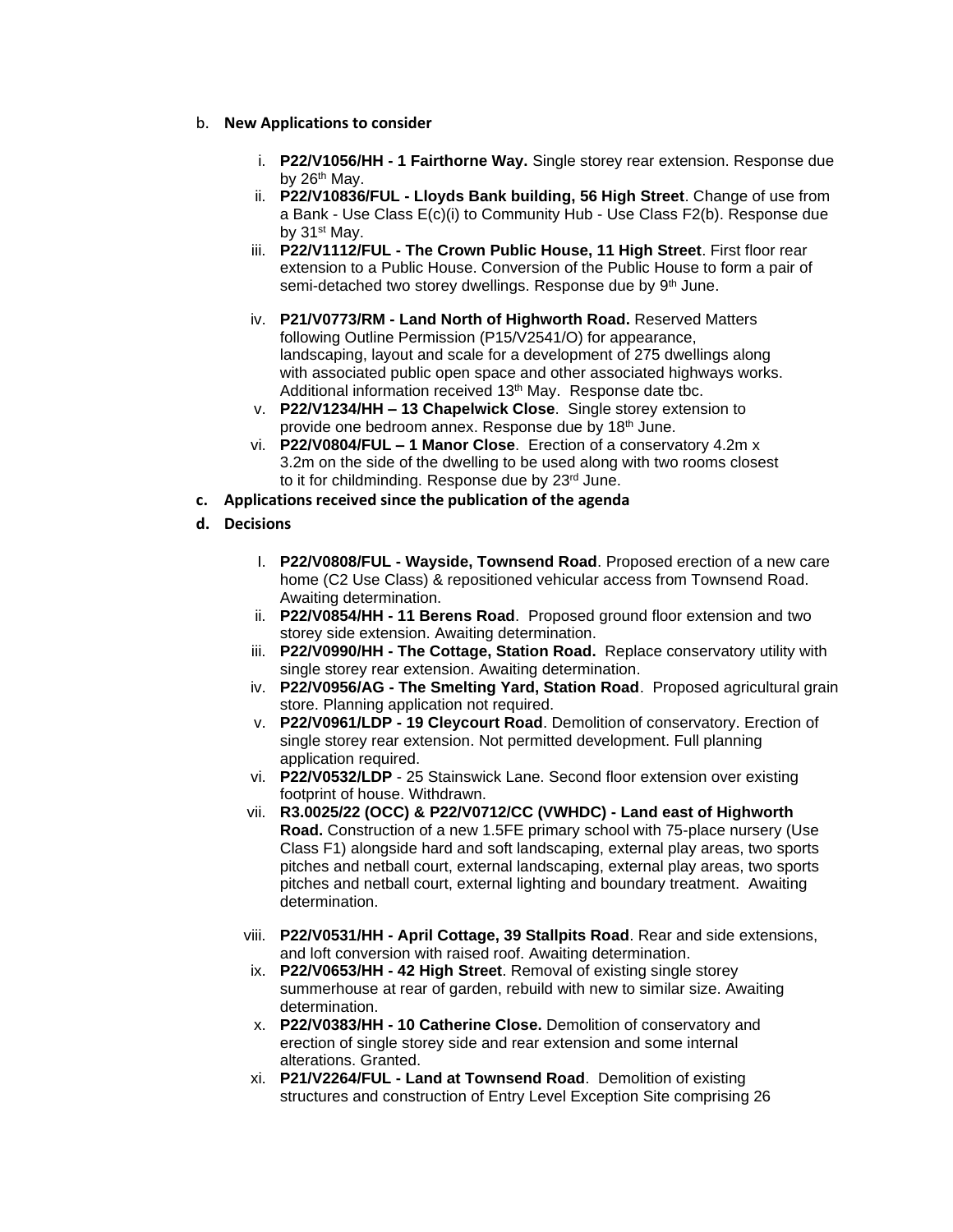- b. **New Applications to consider**
	- i. **P22/V1056/HH - 1 Fairthorne Way.** Single storey rear extension. Response due by 26<sup>th</sup> May.
	- ii. **P22/V10836/FUL - Lloyds Bank building, 56 High Street**. Change of use from a Bank - Use Class E(c)(i) to Community Hub - Use Class F2(b). Response due by 31<sup>st</sup> May.
	- iii. **P22/V1112/FUL - The Crown Public House, 11 High Street**. First floor rear extension to a Public House. Conversion of the Public House to form a pair of semi-detached two storey dwellings. Response due by 9<sup>th</sup> June.
	- iv. **P21/V0773/RM - Land North of Highworth Road.** Reserved Matters following Outline Permission (P15/V2541/O) for appearance, landscaping, layout and scale for a development of 275 dwellings along with associated public open space and other associated highways works. Additional information received 13th May.Response date tbc.
	- v. **P22/V1234/HH – 13 Chapelwick Close**. Single storey extension to provide one bedroom annex. Response due by 18th June.
	- vi. **P22/V0804/FUL – 1 Manor Close**. Erection of a conservatory 4.2m x 3.2m on the side of the dwelling to be used along with two rooms closest to it for childminding. Response due by 23rd June.
- **c. Applications received since the publication of the agenda**
- **d. Decisions**
	- I. **P22/V0808/FUL - Wayside, Townsend Road**. Proposed erection of a new care home (C2 Use Class) & repositioned vehicular access from Townsend Road. Awaiting determination.
	- ii. **P22/V0854/HH - 11 Berens Road**. Proposed ground floor extension and two storey side extension. Awaiting determination.
	- iii. **P22/V0990/HH - The Cottage, Station Road.** Replace conservatory utility with single storey rear extension. Awaiting determination.
	- iv. **P22/V0956/AG - The Smelting Yard, Station Road**. Proposed agricultural grain store. Planning application not required.
	- v. **P22/V0961/LDP - 19 Cleycourt Road**. Demolition of conservatory. Erection of single storey rear extension. Not permitted development. Full planning application required.
	- vi. **P22/V0532/LDP** 25 Stainswick Lane. Second floor extension over existing footprint of house. Withdrawn.
	- vii. **R3.0025/22 (OCC) & P22/V0712/CC (VWHDC) - Land east of Highworth Road.** Construction of a new 1.5FE primary school with 75-place nursery (Use Class F1) alongside hard and soft landscaping, external play areas, two sports pitches and netball court, external landscaping, external play areas, two sports pitches and netball court, external lighting and boundary treatment. Awaiting determination.
	- viii. **P22/V0531/HH - April Cottage, 39 Stallpits Road**. Rear and side extensions, and loft conversion with raised roof. Awaiting determination.
	- ix. **P22/V0653/HH - 42 High Street**. Removal of existing single storey summerhouse at rear of garden, rebuild with new to similar size. Awaiting determination.
	- x. **P22/V0383/HH - 10 Catherine Close.** Demolition of conservatory and erection of single storey side and rear extension and some internal alterations. Granted.
	- xi. **P21/V2264/FUL - Land at Townsend Road**. Demolition of existing structures and construction of Entry Level Exception Site comprising 26